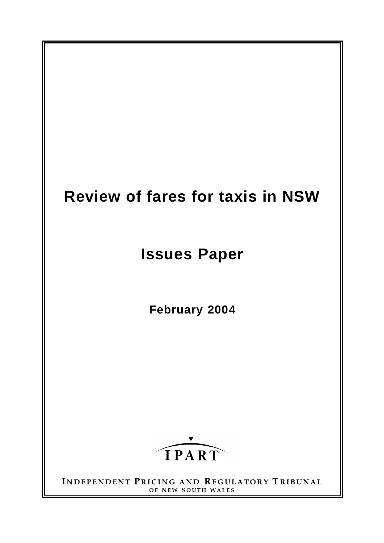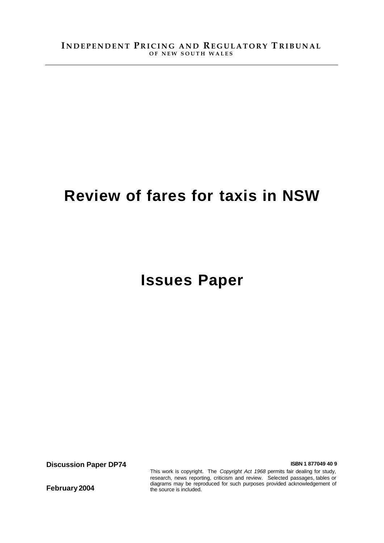# **Review of fares for taxis in NSW**

# **Issues Paper**

**Discussion Paper DP74 ISBN 1 877049 40 9** 

This work is copyright. The *Copyright Act 1968* permits fair dealing for study, research, news reporting, criticism and review. Selected passages, tables or diagrams may be reproduced for such purposes provided acknowledgement of the source is included.

**February 2004**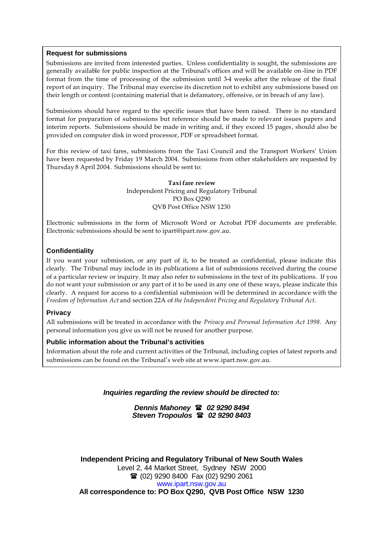#### **Request for submissions**

Submissions are invited from interested parties. Unless confidentiality is sought, the submissions are generally available for public inspection at the Tribunal's offices and will be available on -line in PDF format from the time of processing of the submission until 3-4 weeks after the release of the final report of an inquiry. The Tribunal may exercise its discretion not to exhibit any submissions based on their length or content (containing material that is defamatory, offensive, or in breach of any law).

Submissions should have regard to the specific issues that have been raised. There is no standard format for preparation of submissions but reference should be made to relevant issues papers and interim reports. Submissions should be made in writing and, if they exceed 15 pages, should also be provided on computer disk in word processor, PDF or spreadsheet format.

For this review of taxi fares, submissions from the Taxi Council and the Transport Workers' Union have been requested by Friday 19 March 2004. Submissions from other stakeholders are requested by Thursday 8 April 2004. Submissions should be sent to:

> **Taxi fare review** Independent Pricing and Regulatory Tribunal PO Box Q290 QVB Post Office NSW 1230

Electronic submissions in the form of Microsoft Word or Acrobat PDF documents are preferable. Electronic submissions should be sent to ipart@ipart.nsw.gov.au.

#### **Confidentiality**

If you want your submission, or any part of it, to be treated as confidential, please indicate this clearly. The Tribunal may include in its publications a list of submissions received during the course of a particular review or inquiry. It may also refer to submissions in the text of its publications. If you do not want your submission or any part of it to be used in any one of these ways, please indicate this clearly. A request for access to a confidential submission will be determined in accordance with the *Freedom of Information Act* and section 22A of *the Independent Pricing and Regulatory Tribunal Act*.

#### **Privacy**

All submissions will be treated in accordance with the *Privacy and Personal Information Act 1998*. Any personal information you give us will not be reused for another purpose.

#### **Public information about the Tribunal's activities**

Information about the role and current activities of the Tribunal, including copies of latest reports and submissions can be found on the Tribunal's web site at www.ipart.nsw.gov.au.

#### *Inquiries regarding the review should be directed to:*

*Dennis Mahoney* ( *02 9290 8494 Steven Tropoulos* ( *02 9290 8403*

**Independent Pricing and Regulatory Tribunal of New South Wales** Level 2, 44 Market Street, Sydney NSW 2000 **■ (02) 9290 8400 Fax (02) 9290 2061** www.ipart.nsw.gov.au **All correspondence to: PO Box Q290, QVB Post Office NSW 1230**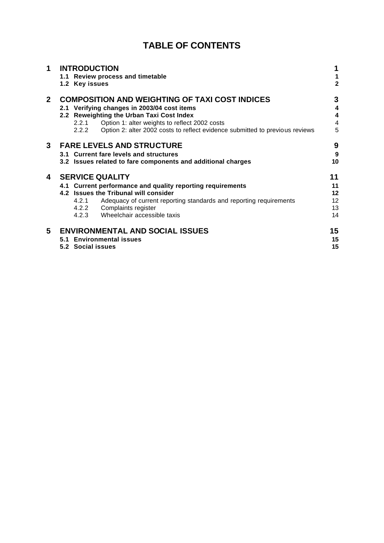# **TABLE OF CONTENTS**

| 1              | <b>INTRODUCTION</b><br>1.1 Review process and timetable<br>1.2 Key issues                                                                                                                                                                                                                            |                                    |  |  |  |  |  |
|----------------|------------------------------------------------------------------------------------------------------------------------------------------------------------------------------------------------------------------------------------------------------------------------------------------------------|------------------------------------|--|--|--|--|--|
| 2 <sup>1</sup> | <b>COMPOSITION AND WEIGHTING OF TAXI COST INDICES</b><br>2.1 Verifying changes in 2003/04 cost items<br>2.2 Reweighting the Urban Taxi Cost Index<br>Option 1: alter weights to reflect 2002 costs<br>2.2.1<br>Option 2: alter 2002 costs to reflect evidence submitted to previous reviews<br>2.2.2 | 3<br>4<br>4<br>$\overline{4}$<br>5 |  |  |  |  |  |
| 3              | <b>FARE LEVELS AND STRUCTURE</b><br>3.1 Current fare levels and structures<br>3.2 Issues related to fare components and additional charges                                                                                                                                                           | 9<br>9<br>10                       |  |  |  |  |  |
| 4              | <b>SERVICE QUALITY</b><br>4.1 Current performance and quality reporting requirements<br>4.2 Issues the Tribunal will consider<br>4.2.1<br>Adequacy of current reporting standards and reporting requirements<br>4.2.2 Complaints register<br>4.2.3 Wheelchair accessible taxis                       | 11<br>11<br>12<br>12<br>13<br>14   |  |  |  |  |  |
| 5              | <b>ENVIRONMENTAL AND SOCIAL ISSUES</b><br>5.1 Environmental issues<br>5.2 Social issues                                                                                                                                                                                                              | 15<br>15<br>15                     |  |  |  |  |  |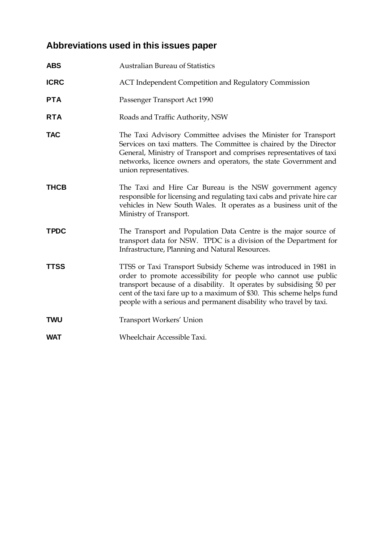# **Abbreviations used in this issues paper**

| <b>ABS</b>  | <b>Australian Bureau of Statistics</b>                                                                                                                                                                                                                                                                                                                    |
|-------------|-----------------------------------------------------------------------------------------------------------------------------------------------------------------------------------------------------------------------------------------------------------------------------------------------------------------------------------------------------------|
| <b>ICRC</b> | <b>ACT</b> Independent Competition and Regulatory Commission                                                                                                                                                                                                                                                                                              |
| <b>PTA</b>  | Passenger Transport Act 1990                                                                                                                                                                                                                                                                                                                              |
| <b>RTA</b>  | Roads and Traffic Authority, NSW                                                                                                                                                                                                                                                                                                                          |
| <b>TAC</b>  | The Taxi Advisory Committee advises the Minister for Transport<br>Services on taxi matters. The Committee is chaired by the Director<br>General, Ministry of Transport and comprises representatives of taxi<br>networks, licence owners and operators, the state Government and<br>union representatives.                                                |
| <b>THCB</b> | The Taxi and Hire Car Bureau is the NSW government agency<br>responsible for licensing and regulating taxi cabs and private hire car<br>vehicles in New South Wales. It operates as a business unit of the<br>Ministry of Transport.                                                                                                                      |
| <b>TPDC</b> | The Transport and Population Data Centre is the major source of<br>transport data for NSW. TPDC is a division of the Department for<br>Infrastructure, Planning and Natural Resources.                                                                                                                                                                    |
| <b>TTSS</b> | TTSS or Taxi Transport Subsidy Scheme was introduced in 1981 in<br>order to promote accessibility for people who cannot use public<br>transport because of a disability. It operates by subsidising 50 per<br>cent of the taxi fare up to a maximum of \$30. This scheme helps fund<br>people with a serious and permanent disability who travel by taxi. |
| <b>TWU</b>  | Transport Workers' Union                                                                                                                                                                                                                                                                                                                                  |
| <b>WAT</b>  | Wheelchair Accessible Taxi.                                                                                                                                                                                                                                                                                                                               |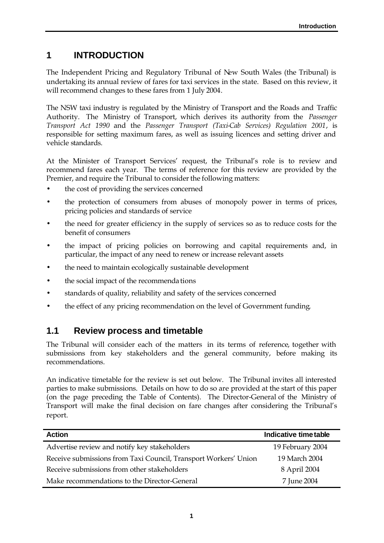# **1 INTRODUCTION**

The Independent Pricing and Regulatory Tribunal of New South Wales (the Tribunal) is undertaking its annual review of fares for taxi services in the state. Based on this review, it will recommend changes to these fares from 1 July 2004.

The NSW taxi industry is regulated by the Ministry of Transport and the Roads and Traffic Authority. The Ministry of Transport, which derives its authority from the *Passenger Transport Act 1990* and the *Passenger Transport (Taxi-Cab Services) Regulation 2001*, is responsible for setting maximum fares, as well as issuing licences and setting driver and vehicle standards.

At the Minister of Transport Services' request, the Tribunal's role is to review and recommend fares each year. The terms of reference for this review are provided by the Premier, and require the Tribunal to consider the following matters:

- the cost of providing the services concerned
- the protection of consumers from abuses of monopoly power in terms of prices, pricing policies and standards of service
- the need for greater efficiency in the supply of services so as to reduce costs for the benefit of consumers
- the impact of pricing policies on borrowing and capital requirements and, in particular, the impact of any need to renew or increase relevant assets
- the need to maintain ecologically sustainable development
- the social impact of the recommendations
- standards of quality, reliability and safety of the services concerned
- the effect of any pricing recommendation on the level of Government funding.

### **1.1 Review process and timetable**

The Tribunal will consider each of the matters in its terms of reference, together with submissions from key stakeholders and the general community, before making its recommendations.

An indicative timetable for the review is set out below. The Tribunal invites all interested parties to make submissions. Details on how to do so are provided at the start of this paper (on the page preceding the Table of Contents). The Director-General of the Ministry of Transport will make the final decision on fare changes after considering the Tribunal's report.

| <b>Action</b>                                                   | Indicative time table |
|-----------------------------------------------------------------|-----------------------|
| Advertise review and notify key stakeholders                    | 19 February 2004      |
| Receive submissions from Taxi Council, Transport Workers' Union | 19 March 2004         |
| Receive submissions from other stakeholders                     | 8 April 2004          |
| Make recommendations to the Director-General                    | 7 June 2004           |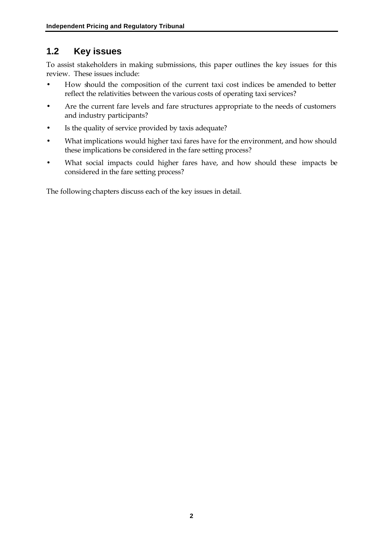# **1.2 Key issues**

To assist stakeholders in making submissions, this paper outlines the key issues for this review. These issues include:

- How should the composition of the current taxi cost indices be amended to better reflect the relativities between the various costs of operating taxi services?
- Are the current fare levels and fare structures appropriate to the needs of customers and industry participants?
- Is the quality of service provided by taxis adequate?
- What implications would higher taxi fares have for the environment, and how should these implications be considered in the fare setting process?
- What social impacts could higher fares have, and how should these impacts be considered in the fare setting process?

The following chapters discuss each of the key issues in detail.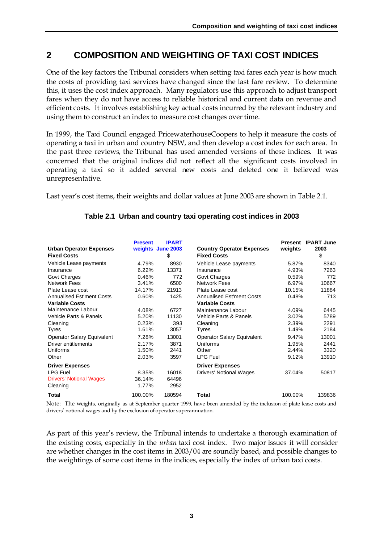### **2 COMPOSITION AND WEIGHTING OF TAXI COST INDICES**

One of the key factors the Tribunal considers when setting taxi fares each year is how much the costs of providing taxi services have changed since the last fare review. To determine this, it uses the cost index approach. Many regulators use this approach to adjust transport fares when they do not have access to reliable historical and current data on revenue and efficient costs. It involves establishing key actual costs incurred by the relevant industry and using them to construct an index to measure cost changes over time.

In 1999, the Taxi Council engaged PricewaterhouseCoopers to help it measure the costs of operating a taxi in urban and country NSW, and then develop a cost index for each area. In the past three reviews, the Tribunal has used amended versions of these indices. It was concerned that the original indices did not reflect all the significant costs involved in operating a taxi so it added several new costs and deleted one it believed was unrepresentative.

Last year's cost items, their weights and dollar values at June 2003 are shown in Table 2.1.

| <b>Urban Operator Expenses</b><br><b>Fixed Costs</b> | <b>Present</b> | <b>IPART</b><br>weights June 2003<br>\$ | <b>Country Operator Expenses</b><br><b>Fixed Costs</b> | weights | <b>Present IPART June</b><br>2003<br>\$ |
|------------------------------------------------------|----------------|-----------------------------------------|--------------------------------------------------------|---------|-----------------------------------------|
| Vehicle Lease payments                               | 4.79%          | 8930                                    | Vehicle Lease payments                                 | 5.87%   | 8340                                    |
| Insurance                                            | 6.22%          | 13371                                   | Insurance                                              | 4.93%   | 7263                                    |
| Govt Charges                                         | 0.46%          | 772                                     | <b>Govt Charges</b>                                    | 0.59%   | 772                                     |
| <b>Network Fees</b>                                  | 3.41%          | 6500                                    | <b>Network Fees</b>                                    | 6.97%   | 10667                                   |
| Plate Lease cost                                     | 14.17%         | 21913                                   | Plate Lease cost                                       | 10.15%  | 11884                                   |
| <b>Annualised Est'ment Costs</b>                     | 0.60%          | 1425                                    | <b>Annualised Est'ment Costs</b>                       | 0.48%   | 713                                     |
| <b>Variable Costs</b>                                |                |                                         | <b>Variable Costs</b>                                  |         |                                         |
| Maintenance Labour                                   | 4.08%          | 6727                                    | Maintenance Labour                                     | 4.09%   | 6445                                    |
| Vehicle Parts & Panels                               | 5.20%          | 11130                                   | Vehicle Parts & Panels                                 | 3.02%   | 5789                                    |
| Cleaning                                             | 0.23%          | 393                                     | Cleaning                                               | 2.39%   | 2291                                    |
| Tyres                                                | 1.61%          | 3057                                    | Tyres                                                  | 1.49%   | 2184                                    |
| <b>Operator Salary Equivalent</b>                    | 7.28%          | 13001                                   | <b>Operator Salary Equivalent</b>                      | 9.47%   | 13001                                   |
| Driver entitlements                                  | 2.17%          | 3871                                    | Uniforms                                               | 1.95%   | 2441                                    |
| <b>Uniforms</b>                                      | 1.50%          | 2441                                    | Other                                                  | 2.44%   | 3320                                    |
| Other                                                | 2.03%          | 3597                                    | <b>LPG Fuel</b>                                        | 9.12%   | 13910                                   |
| <b>Driver Expenses</b>                               |                |                                         | <b>Driver Expenses</b>                                 |         |                                         |
| <b>LPG Fuel</b>                                      | 8.35%          | 16018                                   | <b>Drivers' Notional Wages</b>                         | 37.04%  | 50817                                   |
| <b>Drivers' Notional Wages</b>                       | 36.14%         | 64496                                   |                                                        |         |                                         |
| Cleaning                                             | 1.77%          | 2952                                    |                                                        |         |                                         |
| Total                                                | 100.00%        | 180594                                  | <b>Total</b>                                           | 100.00% | 139836                                  |

### **Table 2.1 Urban and country taxi operating cost indices in 2003**

Note: The weights, originally as at September quarter 1999, have been amended by the inclusion of plate lease costs and drivers' notional wages and by the exclusion of operator superannuation.

As part of this year's review, the Tribunal intends to undertake a thorough examination of the existing costs, especially in the *urban* taxi cost index. Two major issues it will consider are whether changes in the cost items in 2003/04 are soundly based, and possible changes to the weightings of some cost items in the indices, especially the index of urban taxi costs.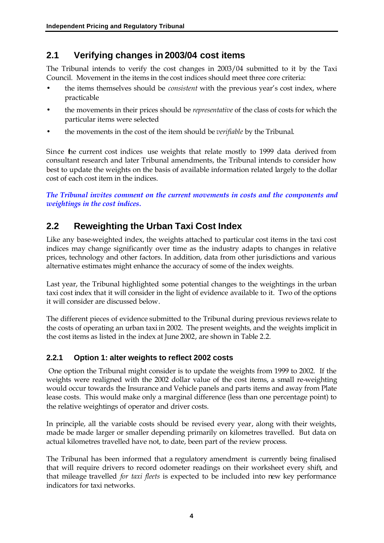# **2.1 Verifying changes in 2003/04 cost items**

The Tribunal intends to verify the cost changes in 2003/04 submitted to it by the Taxi Council. Movement in the items in the cost indices should meet three core criteria:

- the items themselves should be *consistent* with the previous year's cost index, where practicable
- the movements in their prices should be *representative* of the class of costs for which the particular items were selected
- the movements in the cost of the item should be *verifiable* by the Tribunal.

Since the current cost indices use weights that relate mostly to 1999 data derived from consultant research and later Tribunal amendments, the Tribunal intends to consider how best to update the weights on the basis of available information related largely to the dollar cost of each cost item in the indices.

*The Tribunal invites comment on the current movements in costs and the components and weightings in the cost indices.*

# **2.2 Reweighting the Urban Taxi Cost Index**

Like any base-weighted index, the weights attached to particular cost items in the taxi cost indices may change significantly over time as the industry adapts to changes in relative prices, technology and other factors. In addition, data from other jurisdictions and various alternative estimates might enhance the accuracy of some of the index weights.

Last year, the Tribunal highlighted some potential changes to the weightings in the urban taxi cost index that it will consider in the light of evidence available to it. Two of the options it will consider are discussed below.

The different pieces of evidence submitted to the Tribunal during previous reviews relate to the costs of operating an urban taxi in 2002. The present weights, and the weights implicit in the cost items as listed in the index at June 2002, are shown in Table 2.2.

### **2.2.1 Option 1: alter weights to reflect 2002 costs**

 One option the Tribunal might consider is to update the weights from 1999 to 2002. If the weights were realigned with the 2002 dollar value of the cost items, a small re-weighting would occur towards the Insurance and Vehicle panels and parts items and away from Plate lease costs. This would make only a marginal difference (less than one percentage point) to the relative weightings of operator and driver costs.

In principle, all the variable costs should be revised every year, along with their weights, made be made larger or smaller depending primarily on kilometres travelled. But data on actual kilometres travelled have not, to date, been part of the review process.

The Tribunal has been informed that a regulatory amendment is currently being finalised that will require drivers to record odometer readings on their worksheet every shift, and that mileage travelled *for taxi fleets* is expected to be included into new key performance indicators for taxi networks.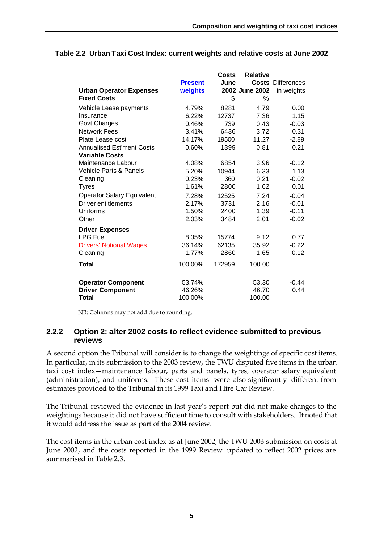|                                   |                | <b>Costs</b> | <b>Relative</b> |                          |
|-----------------------------------|----------------|--------------|-----------------|--------------------------|
|                                   | <b>Present</b> | June         |                 | <b>Costs Differences</b> |
| <b>Urban Operator Expenses</b>    | weights        |              | 2002 June 2002  | in weights               |
| <b>Fixed Costs</b>                |                | \$           | $\%$            |                          |
| Vehicle Lease payments            | 4.79%          | 8281         | 4.79            | 0.00                     |
| Insurance                         | 6.22%          | 12737        | 7.36            | 1.15                     |
| <b>Govt Charges</b>               | 0.46%          | 739          | 0.43            | $-0.03$                  |
| <b>Network Fees</b>               | 3.41%          | 6436         | 3.72            | 0.31                     |
| Plate Lease cost                  | 14.17%         | 19500        | 11.27           | $-2.89$                  |
| <b>Annualised Est'ment Costs</b>  | 0.60%          | 1399         | 0.81            | 0.21                     |
| <b>Variable Costs</b>             |                |              |                 |                          |
| Maintenance Labour                | 4.08%          | 6854         | 3.96            | $-0.12$                  |
| Vehicle Parts & Panels            | 5.20%          | 10944        | 6.33            | 1.13                     |
| Cleaning                          | 0.23%          | 360          | 0.21            | $-0.02$                  |
| <b>Tyres</b>                      | 1.61%          | 2800         | 1.62            | 0.01                     |
| <b>Operator Salary Equivalent</b> | 7.28%          | 12525        | 7.24            | $-0.04$                  |
| <b>Driver entitlements</b>        | 2.17%          | 3731         | 2.16            | $-0.01$                  |
| Uniforms                          | 1.50%          | 2400         | 1.39            | $-0.11$                  |
| Other                             | 2.03%          | 3484         | 2.01            | $-0.02$                  |
| <b>Driver Expenses</b>            |                |              |                 |                          |
| <b>LPG Fuel</b>                   | 8.35%          | 15774        | 9.12            | 0.77                     |
| <b>Drivers' Notional Wages</b>    | 36.14%         | 62135        | 35.92           | $-0.22$                  |
| Cleaning                          | 1.77%          | 2860         | 1.65            | $-0.12$                  |
| Total                             | 100.00%        | 172959       | 100.00          |                          |
| <b>Operator Component</b>         | 53.74%         |              | 53.30           | $-0.44$                  |
| <b>Driver Component</b>           | 46.26%         |              | 46.70           | 0.44                     |
| Total                             | 100.00%        |              | 100.00          |                          |

#### **Table 2.2 Urban Taxi Cost Index: current weights and relative costs at June 2002**

NB: Columns may not add due to rounding.

#### **2.2.2 Option 2: alter 2002 costs to reflect evidence submitted to previous reviews**

A second option the Tribunal will consider is to change the weightings of specific cost items. In particular, in its submission to the 2003 review, the TWU disputed five items in the urban taxi cost index—maintenance labour, parts and panels, tyres, operator salary equivalent (administration), and uniforms. These cost items were also significantly different from estimates provided to the Tribunal in its 1999 Taxi and Hire Car Review.

The Tribunal reviewed the evidence in last year's report but did not make changes to the weightings because it did not have sufficient time to consult with stakeholders. It noted that it would address the issue as part of the 2004 review.

The cost items in the urban cost index as at June 2002, the TWU 2003 submission on costs at June 2002, and the costs reported in the 1999 Review updated to reflect 2002 prices are summarised in Table 2.3.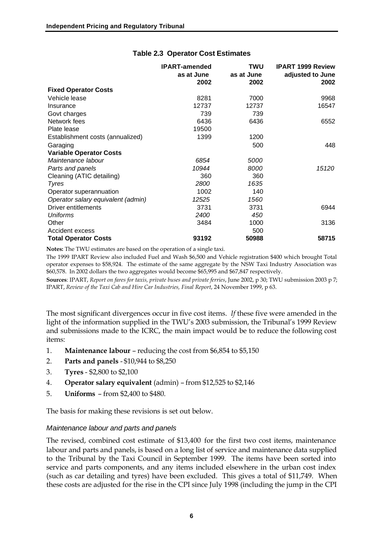|                                    | <b>IPART-amended</b> | TWU         | <b>IPART 1999 Review</b> |
|------------------------------------|----------------------|-------------|--------------------------|
|                                    | as at June           | as at June  | adjusted to June         |
|                                    | 2002                 | 2002        | 2002                     |
| <b>Fixed Operator Costs</b>        |                      |             |                          |
| Vehicle lease                      | 8281                 | 7000        | 9968                     |
| Insurance                          | 12737                | 12737       | 16547                    |
| Govt charges                       | 739                  | 739         |                          |
| Network fees                       | 6436                 | 6436        | 6552                     |
| Plate lease                        | 19500                |             |                          |
| Establishment costs (annualized)   | 1399                 | 1200        |                          |
| Garaging                           |                      | 500         | 448                      |
| <b>Variable Operator Costs</b>     |                      |             |                          |
| Maintenance labour                 | 6854                 | <i>5000</i> |                          |
| Parts and panels                   | 10944                | 8000        | 15120                    |
| Cleaning (ATIC detailing)          | 360                  | 360         |                          |
| <b>Tyres</b>                       | 2800                 | 1635        |                          |
| Operator superannuation            | 1002                 | 140         |                          |
| Operator salary equivalent (admin) | 12525                | 1560        |                          |
| Driver entitlements                | 3731                 | 3731        | 6944                     |
| Uniforms                           | 2400                 | 450         |                          |
| Other                              | 3484                 | 1000        | 3136                     |
| Accident excess                    |                      | 500         |                          |
| <b>Total Operator Costs</b>        | 93192                | 50988       | 58715                    |

#### **Table 2.3 Operator Cost Estimates**

**Notes:** The TWU estimates are based on the operation of a single taxi.

The 1999 IPART Review also included Fuel and Wash \$6,500 and Vehicle registration \$400 which brought Total operator expenses to \$58,924. The estimate of the same aggregate by the NSW Taxi Industry Association was \$60,578. In 2002 dollars the two aggregates would become \$65,995 and \$67,847 respectively.

**Sources**: IPART, *Report on fares for taxis, private buses and private ferries*, June 2002, p 30; TWU submission 2003 p 7; IPART, *Review of the Taxi Cab and Hire Car Industries, Final Report*, 24 November 1999, p 63.

The most significant divergences occur in five cost items. *If* these five were amended in the light of the information supplied in the TWU's 2003 submission, the Tribunal's 1999 Review and submissions made to the ICRC, the main impact would be to reduce the following cost items:

- 1. **Maintenance labour**  reducing the cost from \$6,854 to \$5,150
- 2. **Parts and panels**  \$10,944 to \$8,250
- 3. **Tyres** \$2,800 to \$2,100
- 4. **Operator salary equivalent** (admin) from \$12,525 to \$2,146
- 5. **Uniforms** from \$2,400 to \$480.

The basis for making these revisions is set out below.

#### *Maintenance labour and parts and panels*

The revised, combined cost estimate of \$13,400 for the first two cost items, maintenance labour and parts and panels, is based on a long list of service and maintenance data supplied to the Tribunal by the Taxi Council in September 1999. The items have been sorted into service and parts components, and any items included elsewhere in the urban cost index (such as car detailing and tyres) have been excluded. This gives a total of \$11,749. When these costs are adjusted for the rise in the CPI since July 1998 (including the jump in the CPI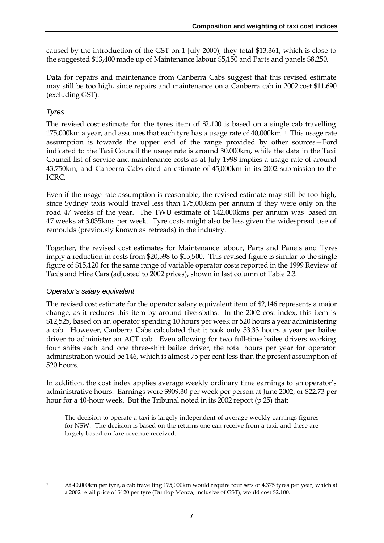caused by the introduction of the GST on 1 July 2000), they total \$13,361, which is close to the suggested \$13,400 made up of Maintenance labour \$5,150 and Parts and panels \$8,250.

Data for repairs and maintenance from Canberra Cabs suggest that this revised estimate may still be too high, since repairs and maintenance on a Canberra cab in 2002 cost \$11,690 (excluding GST).

### *Tyres*

The revised cost estimate for the tyres item of  $\mathfrak{D}, 100$  is based on a single cab travelling 175,000km a year, and assumes that each tyre has a usage rate of 40,000km. 1 This usage rate assumption is towards the upper end of the range provided by other sources—Ford indicated to the Taxi Council the usage rate is around 30,000km, while the data in the Taxi Council list of service and maintenance costs as at July 1998 implies a usage rate of around 43,750km, and Canberra Cabs cited an estimate of 45,000km in its 2002 submission to the ICRC.

Even if the usage rate assumption is reasonable, the revised estimate may still be too high, since Sydney taxis would travel less than 175,000km per annum if they were only on the road 47 weeks of the year. The TWU estimate of 142,000kms per annum was based on 47 weeks at 3,035kms per week. Tyre costs might also be less given the widespread use of remoulds (previously known as retreads) in the industry.

Together, the revised cost estimates for Maintenance labour, Parts and Panels and Tyres imply a reduction in costs from \$20,598 to \$15,500. This revised figure is similar to the single figure of \$15,120 for the same range of variable operator costs reported in the 1999 Review of Taxis and Hire Cars (adjusted to 2002 prices), shown in last column of Table 2.3.

### *Operator's salary equivalent*

The revised cost estimate for the operator salary equivalent item of \$2,146 represents a major change, as it reduces this item by around five-sixths. In the 2002 cost index, this item is \$12,525, based on an operator spending 10 hours per week or 520 hours a year administering a cab. However, Canberra Cabs calculated that it took only 53.33 hours a year per bailee driver to administer an ACT cab. Even allowing for two full-time bailee drivers working four shifts each and one three-shift bailee driver, the total hours per year for operator administration would be 146, which is almost 75 per cent less than the present assumption of 520 hours.

In addition, the cost index applies average weekly ordinary time earnings to an operator's administrative hours. Earnings were \$909.30 per week per person at June 2002, or \$22.73 per hour for a 40-hour week. But the Tribunal noted in its 2002 report (p 25) that:

The decision to operate a taxi is largely independent of average weekly earnings figures for NSW. The decision is based on the returns one can receive from a taxi, and these are largely based on fare revenue received.

 $\overline{a}$ 

<sup>1</sup> At 40,000km per tyre, a cab travelling 175,000km would require four sets of 4.375 tyres per year, which at a 2002 retail price of \$120 per tyre (Dunlop Monza, inclusive of GST), would cost \$2,100.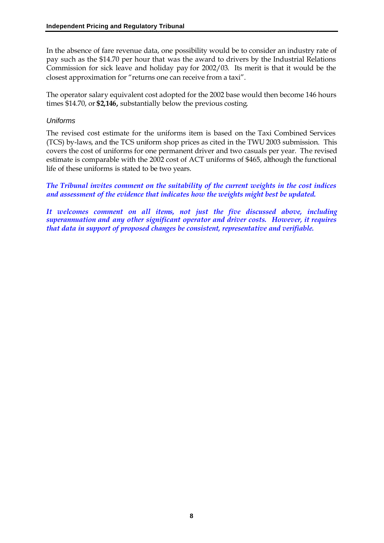In the absence of fare revenue data, one possibility would be to consider an industry rate of pay such as the \$14.70 per hour that was the award to drivers by the Industrial Relations Commission for sick leave and holiday pay for 2002/03. Its merit is that it would be the closest approximation for "returns one can receive from a taxi".

The operator salary equivalent cost adopted for the 2002 base would then become 146 hours times \$14.70, or **\$2,146,** substantially below the previous costing.

#### *Uniforms*

The revised cost estimate for the uniforms item is based on the Taxi Combined Services (TCS) by-laws, and the TCS uniform shop prices as cited in the TWU 2003 submission. This covers the cost of uniforms for one permanent driver and two casuals per year. The revised estimate is comparable with the 2002 cost of ACT uniforms of \$465, although the functional life of these uniforms is stated to be two years.

*The Tribunal invites comment on the suitability of the current weights in the cost indices and assessment of the evidence that indicates how the weights might best be updated.*

*It welcomes comment on all items, not just the five discussed above, including superannuation and any other significant operator and driver costs. However, it requires that data in support of proposed changes be consistent, representative and verifiable.*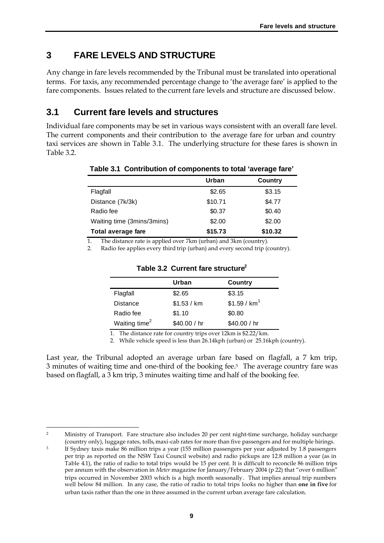# **3 FARE LEVELS AND STRUCTURE**

Any change in fare levels recommended by the Tribunal must be translated into operational terms. For taxis, any recommended percentage change to 'the average fare' is applied to the fare components. Issues related to the current fare levels and structure are discussed below.

### **3.1 Current fare levels and structures**

Individual fare components may be set in various ways consistent with an overall fare level. The current components and their contribution to the average fare for urban and country taxi services are shown in Table 3.1. The underlying structure for these fares is shown in Table 3.2.

|                            | Urban   | Country |
|----------------------------|---------|---------|
| Flagfall                   | \$2.65  | \$3.15  |
| Distance (7k/3k)           | \$10.71 | \$4.77  |
| Radio fee                  | \$0.37  | \$0.40  |
| Waiting time (3mins/3mins) | \$2.00  | \$2.00  |
| <b>Total average fare</b>  | \$15.73 | \$10.32 |

#### **Table 3.1 Contribution of components to total 'average fare'**

1. The distance rate is applied over 7km (urban) and 3km (country).

2. Radio fee applies every third trip (urban) and every second trip (country).

|                           | Urban        | Country                  |
|---------------------------|--------------|--------------------------|
| Flagfall                  | \$2.65       | \$3.15                   |
| <b>Distance</b>           | \$1.53 / km  | \$1.59 / km <sup>1</sup> |
| Radio fee                 | \$1.10       | \$0.80                   |
| Waiting time <sup>2</sup> | \$40.00 / hr | \$40.00 / hr             |

#### **Table 3.2 Current fare structure<sup>2</sup>**

1. The distance rate for country trips over 12km is \$2.22/km.

2. While vehicle speed is less than 26.14kph (urban) or 25.16kph (country).

Last year, the Tribunal adopted an average urban fare based on flagfall, a 7 km trip, 3 minutes of waiting time and one-third of the booking fee.3 The average country fare was based on flagfall, a 3 km trip, 3 minutes waiting time and half of the booking fee.

 $\overline{a}$ <sup>2</sup> Ministry of Transport. Fare structure also includes 20 per cent night-time surcharge, holiday surcharge (country only), luggage rates, tolls, maxi-cab rates for more than five passengers and for multiple hirings.

<sup>&</sup>lt;sup>3</sup> If Sydney taxis make 86 million trips a year (155 million passengers per year adjusted by 1.8 passengers per trip as reported on the NSW Taxi Council website) and radio pickups are 12.8 million a year (as in Table 4.1), the ratio of radio to total trips would be 15 per cent. It is difficult to reconcile 86 million trips per annum with the observation in *Meter* magazine for January/February 2004 (p 22) that "over 6 million" trips occurred in November 2003 which is a high month seasonally. That implies annual trip numbers well below 84 million. In any case, the ratio of radio to total trips looks no higher than **one in five** for urban taxis rather than the one in three assumed in the current urban average fare calculation.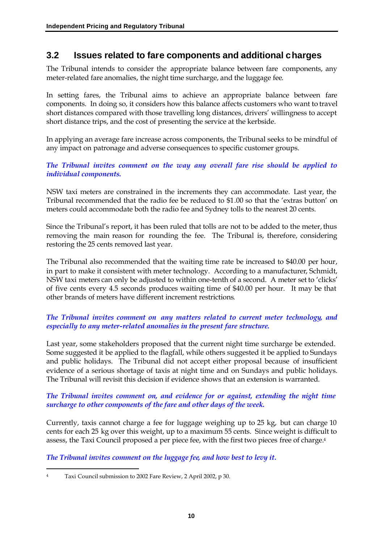### **3.2 Issues related to fare components and additional charges**

The Tribunal intends to consider the appropriate balance between fare components, any meter-related fare anomalies, the night time surcharge, and the luggage fee.

In setting fares, the Tribunal aims to achieve an appropriate balance between fare components. In doing so, it considers how this balance affects customers who want to travel short distances compared with those travelling long distances, drivers' willingness to accept short distance trips, and the cost of presenting the service at the kerbside.

In applying an average fare increase across components, the Tribunal seeks to be mindful of any impact on patronage and adverse consequences to specific customer groups.

#### *The Tribunal invites comment on the way any overall fare rise should be applied to individual components.*

NSW taxi meters are constrained in the increments they can accommodate. Last year, the Tribunal recommended that the radio fee be reduced to \$1.00 so that the 'extras button' on meters could accommodate both the radio fee and Sydney tolls to the nearest 20 cents.

Since the Tribunal's report, it has been ruled that tolls are not to be added to the meter, thus removing the main reason for rounding the fee. The Tribunal is, therefore, considering restoring the 25 cents removed last year.

The Tribunal also recommended that the waiting time rate be increased to \$40.00 per hour, in part to make it consistent with meter technology. According to a manufacturer, Schmidt, NSW taxi meters can only be adjusted to within one-tenth of a second. A meter set to 'clicks' of five cents every 4.5 seconds produces waiting time of \$40.00 per hour. It may be that other brands of meters have different increment restrictions.

### *The Tribunal invites comment on any matters related to current meter technology, and especially to any meter-related anomalies in the present fare structure.*

Last year, some stakeholders proposed that the current night time surcharge be extended. Some suggested it be applied to the flagfall, while others suggested it be applied to Sundays and public holidays. The Tribunal did not accept either proposal because of insufficient evidence of a serious shortage of taxis at night time and on Sundays and public holidays. The Tribunal will revisit this decision if evidence shows that an extension is warranted.

#### *The Tribunal invites comment on, and evidence for or against, extending the night time surcharge to other components of the fare and other days of the week.*

Currently, taxis cannot charge a fee for luggage weighing up to 25 kg, but can charge 10 cents for each 25 kg over this weight, up to a maximum 55 cents. Since weight is difficult to assess, the Taxi Council proposed a per piece fee, with the first two pieces free of charge. 4

*The Tribunal invites comment on the luggage fee, and how best to levy it.*

 $\overline{a}$ <sup>4</sup> Taxi Council submission to 2002 Fare Review, 2 April 2002, p 30.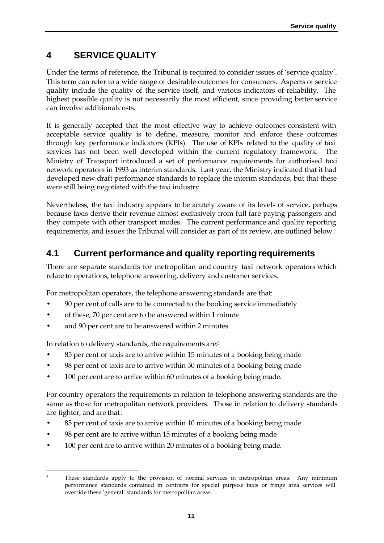# **4 SERVICE QUALITY**

Under the terms of reference, the Tribunal is required to consider issues of 'service quality'. This term can refer to a wide range of desirable outcomes for consumers. Aspects of service quality include the quality of the service itself, and various indicators of reliability. The highest possible quality is not necessarily the most efficient, since providing better service can involve additional costs.

It is generally accepted that the most effective way to achieve outcomes consistent with acceptable service quality is to define, measure, monitor and enforce these outcomes through key performance indicators (KPIs). The use of KPIs related to the quality of taxi services has not been well developed within the current regulatory framework. The Ministry of Transport introduced a set of performance requirements for authorised taxi network operators in 1993 as interim standards. Last year, the Ministry indicated that it had developed new draft performance standards to replace the interim standards, but that these were still being negotiated with the taxi industry.

Nevertheless, the taxi industry appears to be acutely aware of its levels of service, perhaps because taxis derive their revenue almost exclusively from full fare paying passengers and they compete with other transport modes. The current performance and quality reporting requirements, and issues the Tribunal will consider as part of its review, are outlined below.

## **4.1 Current performance and quality reporting requirements**

There are separate standards for metropolitan and country taxi network operators which relate to operations, telephone answering, delivery and customer services.

For metropolitan operators, the telephone answering standards are that:

- 90 per cent of calls are to be connected to the booking service immediately
- of these, 70 per cent are to be answered within 1 minute
- and 90 per cent are to be answered within 2 minutes.

In relation to delivery standards, the requirements are: 5

- 85 per cent of taxis are to arrive within 15 minutes of a booking being made
- 98 per cent of taxis are to arrive within 30 minutes of a booking being made
- 100 per cent are to arrive within 60 minutes of a booking being made.

For country operators the requirements in relation to telephone answering standards are the same as those for metropolitan network providers. Those in relation to delivery standards are tighter, and are that:

- 85 per cent of taxis are to arrive within 10 minutes of a booking being made
- 98 per cent are to arrive within 15 minutes of a booking being made
- 100 per cent are to arrive within 20 minutes of a booking being made.

 $\overline{a}$ <sup>5</sup> These standards apply to the provision of normal services in metropolitan areas. Any minimum performance standards contained in contracts for special purpose taxis or fringe area services will override these 'general' standards for metropolitan areas.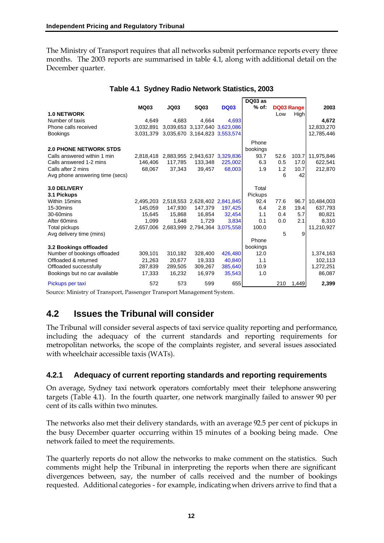The Ministry of Transport requires that all networks submit performance reports every three months. The 2003 reports are summarised in table 4.1, along with additional detail on the December quarter.

|                                 |             |             |                               |             | DQ03 as  |      |             |            |
|---------------------------------|-------------|-------------|-------------------------------|-------------|----------|------|-------------|------------|
|                                 | <b>MQ03</b> | <b>JQ03</b> | <b>SQ03</b>                   | <b>DQ03</b> | $%$ of:  |      | DQ03 Range  | 2003       |
| <b>1.0 NETWORK</b>              |             |             |                               |             |          | Low  | <b>High</b> |            |
| Number of taxis                 | 4.649       | 4.683       | 4.664                         | 4.693       |          |      |             | 4.672      |
| Phone calls received            | 3.032.891   |             | 3,039,653 3,137,640 3,623,086 |             |          |      |             | 12,833,270 |
| <b>Bookings</b>                 | 3.031.379   |             | 3,035,670 3,164,823 3,553,574 |             |          |      |             | 12,785,446 |
|                                 |             |             |                               |             | Phone    |      |             |            |
| <b>2.0 PHONE NETWORK STDS</b>   |             |             |                               |             | bookings |      |             |            |
| Calls answered within 1 min     | 2,818,418   |             | 2,883,955 2,943,637 3,329,836 |             | 93.7     | 52.6 | 103.7       | 11,975,846 |
| Calls answered 1-2 mins         | 146,406     | 117,785     | 133,348                       | 225,002     | 6.3      | 0.5  | 17.0        | 622,541    |
| Calls after 2 mins              | 68,067      | 37,343      | 39,457                        | 68,003      | 1.9      | 1.2  | 10.7        | 212,870    |
| Avg phone answering time (secs) |             |             |                               |             |          | 6    | 42          |            |
| 3.0 DELIVERY                    |             |             |                               |             | Total    |      |             |            |
| 3.1 Pickups                     |             |             |                               |             | Pickups  |      |             |            |
| Within 15mins                   | 2.495.203   |             | 2,518,553 2,628,402 2,841,845 |             | 92.4     | 77.6 | 96.7        | 10,484,003 |
| 15-30mins                       | 145,059     | 147.930     | 147.379                       | 197,425     | 6.4      | 2.8  | 19.4        | 637,793    |
| 30-60mins                       | 15.645      | 15.868      | 16.854                        | 32.454      | 1.1      | 0.4  | 5.7         | 80.821     |
| After 60mins                    | 1,099       | 1.648       | 1.729                         | 3.834       | 0.1      | 0.0  | 2.1         | 8.310      |
| <b>Total pickups</b>            | 2.657.006   |             | 2,683,999 2,794,364 3,075,558 |             | 100.0    |      |             | 11,210,927 |
| Avg delivery time (mins)        |             |             |                               |             |          | 5    | 9           |            |
|                                 |             |             |                               |             | Phone    |      |             |            |
| 3.2 Bookings offloaded          |             |             |                               |             | bookings |      |             |            |
| Number of bookings offloaded    | 309,101     | 310,182     | 328,400                       | 426,480     | 12.0     |      |             | 1,374,163  |
| Offloaded & returned            | 21.263      | 20.677      | 19.333                        | 40.840      | 1.1      |      |             | 102.113    |
| Offloaded successfully          | 287,839     | 289,505     | 309,267                       | 385,640     | 10.9     |      |             | 1,272,251  |
| Bookings but no car available   | 17.333      | 16.232      | 16.979                        | 35.543      | 1.0      |      |             | 86.087     |
| Pickups per taxi                | 572         | 573         | 599                           | 655         |          | 210  | 1,449       | 2,399      |

#### **Table 4.1 Sydney Radio Network Statistics, 2003**

Source: Ministry of Transport, Passenger Transport Management System.

### **4.2 Issues the Tribunal will consider**

The Tribunal will consider several aspects of taxi service quality reporting and performance, including the adequacy of the current standards and reporting requirements for metropolitan networks, the scope of the complaints register, and several issues associated with wheelchair accessible taxis (WATs).

### **4.2.1 Adequacy of current reporting standards and reporting requirements**

On average, Sydney taxi network operators comfortably meet their telephone answering targets (Table 4.1). In the fourth quarter, one network marginally failed to answer 90 per cent of its calls within two minutes.

The networks also met their delivery standards, with an average 92.5 per cent of pickups in the busy December quarter occurring within 15 minutes of a booking being made. One network failed to meet the requirements.

The quarterly reports do not allow the networks to make comment on the statistics. Such comments might help the Tribunal in interpreting the reports when there are significant divergences between, say, the number of calls received and the number of bookings requested. Additional categories - for example, indicating when drivers arrive to find that a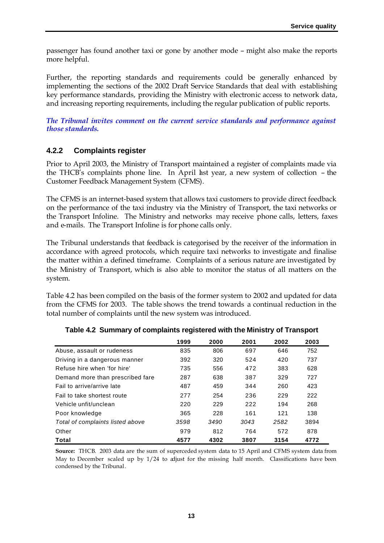passenger has found another taxi or gone by another mode – might also make the reports more helpful.

Further, the reporting standards and requirements could be generally enhanced by implementing the sections of the 2002 Draft Service Standards that deal with establishing key performance standards, providing the Ministry with electronic access to network data, and increasing reporting requirements, including the regular publication of public reports.

*The Tribunal invites comment on the current service standards and performance against those standards.*

### **4.2.2 Complaints register**

Prior to April 2003, the Ministry of Transport maintained a register of complaints made via the THCB's complaints phone line. In April last year, a new system of collection – the Customer Feedback Management System (CFMS).

The CFMS is an internet-based system that allows taxi customers to provide direct feedback on the performance of the taxi industry via the Ministry of Transport, the taxi networks or the Transport Infoline. The Ministry and networks may receive phone calls, letters, faxes and e-mails. The Transport Infoline is for phone calls only.

The Tribunal understands that feedback is categorised by the receiver of the information in accordance with agreed protocols, which require taxi networks to investigate and finalise the matter within a defined timeframe. Complaints of a serious nature are investigated by the Ministry of Transport, which is also able to monitor the status of all matters on the system.

Table 4.2 has been compiled on the basis of the former system to 2002 and updated for data from the CFMS for 2003. The table shows the trend towards a continual reduction in the total number of complaints until the new system was introduced.

|                                  | 1999 | 2000 | 2001 | 2002 | 2003 |
|----------------------------------|------|------|------|------|------|
| Abuse, assault or rudeness       | 835  | 806  | 697  | 646  | 752  |
| Driving in a dangerous manner    | 392  | 320  | 524  | 420  | 737  |
| Refuse hire when 'for hire'      | 735  | 556  | 472  | 383  | 628  |
| Demand more than prescribed fare | 287  | 638  | 387  | 329  | 727  |
| Fail to arrive/arrive late       | 487  | 459  | 344  | 260  | 423  |
| Fail to take shortest route      | 277  | 254  | 236  | 229  | 222  |
| Vehicle unfit/unclean            | 220  | 229  | 222  | 194  | 268  |
| Poor knowledge                   | 365  | 228  | 161  | 121  | 138  |
| Total of complaints listed above | 3598 | 3490 | 3043 | 2582 | 3894 |
| Other                            | 979  | 812  | 764  | 572  | 878  |
| Total                            | 4577 | 4302 | 3807 | 3154 | 4772 |

| Table 4.2 Summary of complaints registered with the Ministry of Transport |  |  |  |  |
|---------------------------------------------------------------------------|--|--|--|--|
|---------------------------------------------------------------------------|--|--|--|--|

**Source:** THCB. 2003 data are the sum of superceded system data to 15 April and CFMS system data from May to December scaled up by 1/24 to adjust for the missing half month. Classifications have been condensed by the Tribunal.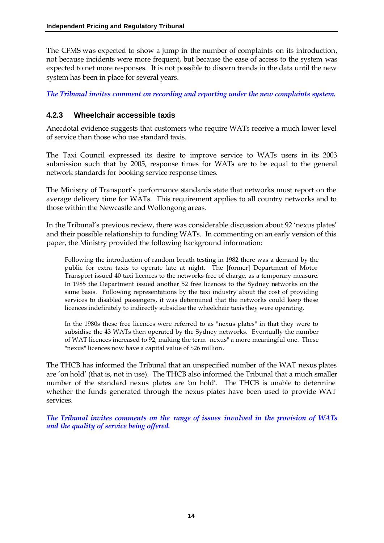The CFMS was expected to show a jump in the number of complaints on its introduction, not because incidents were more frequent, but because the ease of access to the system was expected to net more responses. It is not possible to discern trends in the data until the new system has been in place for several years.

*The Tribunal invites comment on recording and reporting under the new complaints system.*

### **4.2.3 Wheelchair accessible taxis**

Anecdotal evidence suggests that customers who require WATs receive a much lower level of service than those who use standard taxis.

The Taxi Council expressed its desire to improve service to WATs users in its 2003 submission such that by 2005, response times for WATs are to be equal to the general network standards for booking service response times.

The Ministry of Transport's performance standards state that networks must report on the average delivery time for WATs. This requirement applies to all country networks and to those within the Newcastle and Wollongong areas.

In the Tribunal's previous review, there was considerable discussion about 92 'nexus plates' and their possible relationship to funding WATs. In commenting on an early version of this paper, the Ministry provided the following background information:

Following the introduction of random breath testing in 1982 there was a demand by the public for extra taxis to operate late at night. The [former] Department of Motor Transport issued 40 taxi licences to the networks free of charge, as a temporary measure. In 1985 the Department issued another 52 free licences to the Sydney networks on the same basis. Following representations by the taxi industry about the cost of providing services to disabled passengers, it was determined that the networks could keep these licences indefinitely to indirectly subsidise the wheelchair taxis they were operating.

In the 1980s these free licences were referred to as "nexus plates" in that they were to subsidise the 43 WATs then operated by the Sydney networks. Eventually the number of WAT licences increased to 92, making the term "nexus" a more meaningful one. These "nexus" licences now have a capital value of \$26 million.

The THCB has informed the Tribunal that an unspecified number of the WAT nexus plates are 'on hold' (that is, not in use). The THCB also informed the Tribunal that a much smaller number of the standard nexus plates are 'on hold'. The THCB is unable to determine whether the funds generated through the nexus plates have been used to provide WAT services.

*The Tribunal invites comments on the range of issues involved in the provision of WATs and the quality of service being offered.*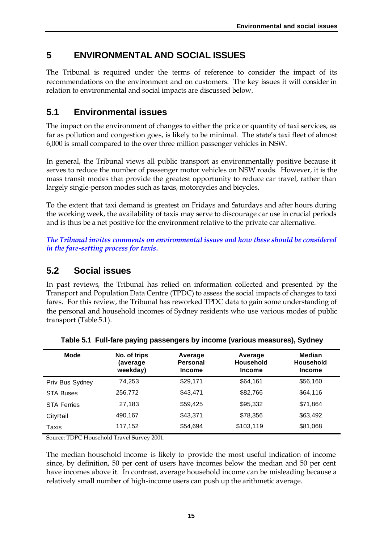# **5 ENVIRONMENTAL AND SOCIAL ISSUES**

The Tribunal is required under the terms of reference to consider the impact of its recommendations on the environment and on customers. The key issues it will consider in relation to environmental and social impacts are discussed below.

### **5.1 Environmental issues**

The impact on the environment of changes to either the price or quantity of taxi services, as far as pollution and congestion goes, is likely to be minimal. The state's taxi fleet of almost 6,000 is small compared to the over three million passenger vehicles in NSW.

In general, the Tribunal views all public transport as environmentally positive because it serves to reduce the number of passenger motor vehicles on NSW roads. However, it is the mass transit modes that provide the greatest opportunity to reduce car travel, rather than largely single-person modes such as taxis, motorcycles and bicycles.

To the extent that taxi demand is greatest on Fridays and Saturdays and after hours during the working week, the availability of taxis may serve to discourage car use in crucial periods and is thus be a net positive for the environment relative to the private car alternative.

*The Tribunal invites comments on environmental issues and how these should be considered in the fare-setting process for taxis.*

### **5.2 Social issues**

In past reviews, the Tribunal has relied on information collected and presented by the Transport and Population Data Centre (TPDC) to assess the social impacts of changes to taxi fares. For this review, the Tribunal has reworked TPDC data to gain some understanding of the personal and household incomes of Sydney residents who use various modes of public transport (Table 5.1).

| Mode               | No. of trips<br>(average<br>weekday) | Average<br>Personal<br><b>Income</b> | Average<br><b>Household</b><br><b>Income</b> | Median<br><b>Household</b><br><b>Income</b> |
|--------------------|--------------------------------------|--------------------------------------|----------------------------------------------|---------------------------------------------|
| Priv Bus Sydney    | 74.253                               | \$29,171                             | \$64,161                                     | \$56,160                                    |
| <b>STA Buses</b>   | 256.772                              | \$43.471                             | \$82,766                                     | \$64,116                                    |
| <b>STA Ferries</b> | 27,183                               | \$59,425                             | \$95,332                                     | \$71,864                                    |
| CityRail           | 490,167                              | \$43,371                             | \$78,356                                     | \$63,492                                    |
| Taxis              | 117,152                              | \$54,694                             | \$103,119                                    | \$81,068                                    |

**Table 5.1 Full-fare paying passengers by income (various measures), Sydney**

Source: TDPC Household Travel Survey 2001.

The median household income is likely to provide the most useful indication of income since, by definition, 50 per cent of users have incomes below the median and 50 per cent have incomes above it. In contrast, average household income can be misleading because a relatively small number of high-income users can push up the arithmetic average.